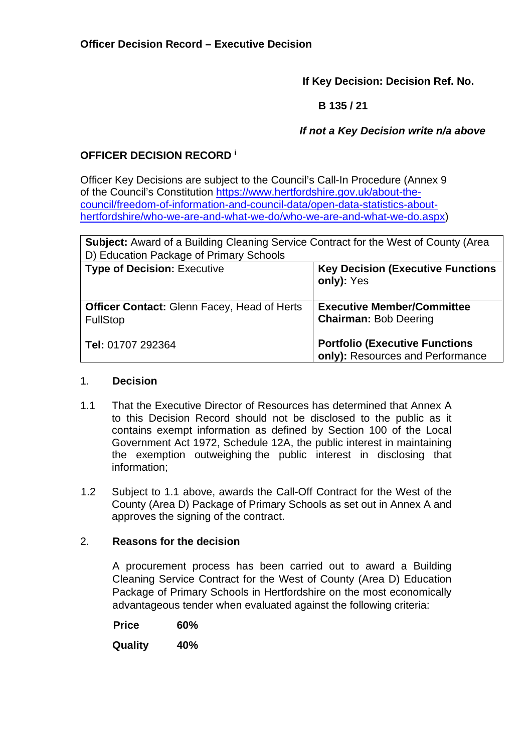**If Key Decision: Decision Ref. No.** 

 **B 135 / 21** 

 *If not a Key Decision write n/a above* 

# **OFFICER DECISION RECORD <sup>i</sup>**

Officer Key Decisions are subject to the Council's Call-In Procedure (Annex 9 of the Council's Constitution [https://www.hertfordshire.gov.uk/about-the](https://www.hertfordshire.gov.uk/about-the-council/freedom-of-information-and-council-data/open-data-statistics-about-hertfordshire/who-we-are-and-what-we-do/who-we-are-and-what-we-do.aspx)[council/freedom-of-information-and-council-data/open-data-statistics-about](https://www.hertfordshire.gov.uk/about-the-council/freedom-of-information-and-council-data/open-data-statistics-about-hertfordshire/who-we-are-and-what-we-do/who-we-are-and-what-we-do.aspx)[hertfordshire/who-we-are-and-what-we-do/who-we-are-and-what-we-do.aspx\)](https://www.hertfordshire.gov.uk/about-the-council/freedom-of-information-and-council-data/open-data-statistics-about-hertfordshire/who-we-are-and-what-we-do/who-we-are-and-what-we-do.aspx)

| <b>Subject:</b> Award of a Building Cleaning Service Contract for the West of County (Area |                                                                           |  |
|--------------------------------------------------------------------------------------------|---------------------------------------------------------------------------|--|
| D) Education Package of Primary Schools                                                    |                                                                           |  |
| <b>Type of Decision: Executive</b>                                                         | <b>Key Decision (Executive Functions)</b><br>only): Yes                   |  |
| <b>Officer Contact: Glenn Facey, Head of Herts</b><br><b>FullStop</b>                      | <b>Executive Member/Committee</b><br><b>Chairman: Bob Deering</b>         |  |
| Tel: 01707 292364                                                                          | <b>Portfolio (Executive Functions</b><br>only): Resources and Performance |  |

#### 1. **Decision**

- 1.1 That the Executive Director of Resources has determined that Annex A to this Decision Record should not be disclosed to the public as it contains exempt information as defined by Section 100 of the Local Government Act 1972, Schedule 12A, the public interest in maintaining the exemption outweighing the public interest in disclosing that information;
- 1.2 Subject to 1.1 above, awards the Call-Off Contract for the West of the County (Area D) Package of Primary Schools as set out in Annex A and approves the signing of the contract.

# 2. **Reasons for the decision**

A procurement process has been carried out to award a Building Cleaning Service Contract for the West of County (Area D) Education Package of Primary Schools in Hertfordshire on the most economically advantageous tender when evaluated against the following criteria:

 **Price 60%** 

**Quality 40%**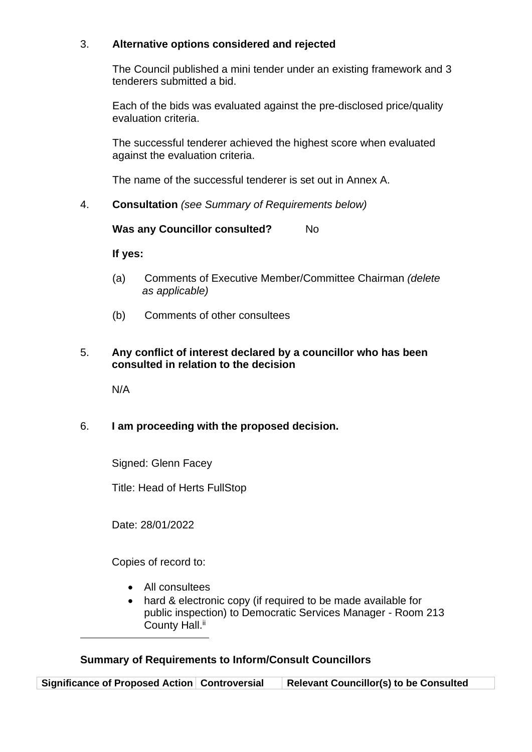### 3. **Alternative options considered and rejected**

The Council published a mini tender under an existing framework and 3 tenderers submitted a bid.

Each of the bids was evaluated against the pre-disclosed price/quality evaluation criteria.

The successful tenderer achieved the highest score when evaluated against the evaluation criteria.

The name of the successful tenderer is set out in Annex A.

4. **Consultation** *(see Summary of Requirements below)*

**Was any Councillor consulted?** No

**If yes:** 

- (a) Comments of Executive Member/Committee Chairman *(delete as applicable)*
- (b) Comments of other consultees

#### 5. **Any conflict of interest declared by a councillor who has been consulted in relation to the decision**

N/A

# 6. **I am proceeding with the proposed decision.**

Signed: Glenn Facey

Title: Head of Herts FullStop

Date: 28/01/2022

Copies of record to:

- All consultees
- hard & electronic copy (if required to be made available for public inspection) to Democratic Services Manager - Room 213 County Hall.<sup>ii</sup>

# **Summary of Requirements to Inform/Consult Councillors**

**Significance of Proposed Action Controversial Relevant Councillor(s) to be Consulted**